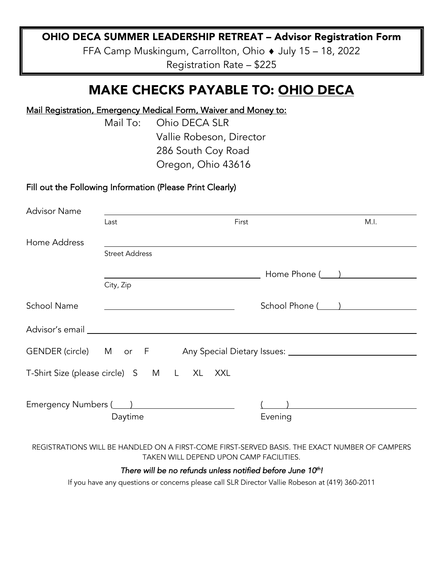## OHIO DECA SUMMER LEADERSHIP RETREAT – Advisor Registration Form

FFA Camp Muskingum, Carrollton, Ohio  $\triangle$  July 15 – 18, 2022 Registration Rate – \$225

# MAKE CHECKS PAYABLE TO: OHIO DECA

### Mail Registration, Emergency Medical Form, Waiver and Money to:

Mail To: Ohio DECA SLR Vallie Robeson, Director 286 South Coy Road Oregon, Ohio 43616

### Fill out the Following Information (Please Print Clearly)

| <b>Advisor Name</b>                                                                                                                                                                                                           |                       |       |                                                                                  |      |
|-------------------------------------------------------------------------------------------------------------------------------------------------------------------------------------------------------------------------------|-----------------------|-------|----------------------------------------------------------------------------------|------|
|                                                                                                                                                                                                                               | Last                  | First |                                                                                  | M.I. |
| Home Address                                                                                                                                                                                                                  |                       |       |                                                                                  |      |
|                                                                                                                                                                                                                               | <b>Street Address</b> |       |                                                                                  |      |
|                                                                                                                                                                                                                               |                       |       | Home Phone ( )                                                                   |      |
|                                                                                                                                                                                                                               | City, Zip             |       |                                                                                  |      |
| School Name                                                                                                                                                                                                                   |                       |       | School Phone ( <u>____ )</u>                                                     |      |
|                                                                                                                                                                                                                               |                       |       |                                                                                  |      |
|                                                                                                                                                                                                                               |                       |       | GENDER (circle) M or F Any Special Dietary Issues: _____________________________ |      |
| T-Shirt Size (please circle) S M L XL XXL                                                                                                                                                                                     |                       |       |                                                                                  |      |
| Emergency Numbers ( and 1 million contracts and the emergency Numbers ( and 1 million contracts and 2 million contracts and 2 million contracts and 2 million contracts and 2 million contracts and 2 million contracts and 2 |                       |       | ) and the set of $\overline{a}$                                                  |      |
|                                                                                                                                                                                                                               | Daytime               |       | Evening                                                                          |      |
|                                                                                                                                                                                                                               |                       |       |                                                                                  |      |

REGISTRATIONS WILL BE HANDLED ON A FIRST-COME FIRST-SERVED BASIS. THE EXACT NUMBER OF CAMPERS TAKEN WILL DEPEND UPON CAMP FACILITIES.

#### There will be no refunds unless notified before June 10<sup>th</sup>!

If you have any questions or concerns please call SLR Director Vallie Robeson at (419) 360-2011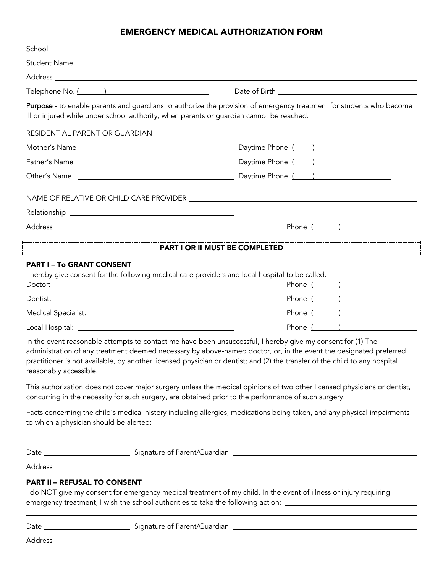### EMERGENCY MEDICAL AUTHORIZATION FORM

| Telephone No. ( )                                                                                    |                                                                                                                                                                                                                                                                                                                                                                |  |
|------------------------------------------------------------------------------------------------------|----------------------------------------------------------------------------------------------------------------------------------------------------------------------------------------------------------------------------------------------------------------------------------------------------------------------------------------------------------------|--|
| ill or injured while under school authority, when parents or guardian cannot be reached.             | Purpose - to enable parents and guardians to authorize the provision of emergency treatment for students who become                                                                                                                                                                                                                                            |  |
| RESIDENTIAL PARENT OR GUARDIAN                                                                       |                                                                                                                                                                                                                                                                                                                                                                |  |
|                                                                                                      |                                                                                                                                                                                                                                                                                                                                                                |  |
|                                                                                                      |                                                                                                                                                                                                                                                                                                                                                                |  |
|                                                                                                      |                                                                                                                                                                                                                                                                                                                                                                |  |
|                                                                                                      |                                                                                                                                                                                                                                                                                                                                                                |  |
|                                                                                                      |                                                                                                                                                                                                                                                                                                                                                                |  |
|                                                                                                      | Phone $($ $)$                                                                                                                                                                                                                                                                                                                                                  |  |
|                                                                                                      | <b>PART I OR II MUST BE COMPLETED</b>                                                                                                                                                                                                                                                                                                                          |  |
| <b>PART I – To GRANT CONSENT</b>                                                                     |                                                                                                                                                                                                                                                                                                                                                                |  |
| I hereby give consent for the following medical care providers and local hospital to be called:      |                                                                                                                                                                                                                                                                                                                                                                |  |
|                                                                                                      | Phone $($ $)$                                                                                                                                                                                                                                                                                                                                                  |  |
|                                                                                                      | Phone $($ $)$                                                                                                                                                                                                                                                                                                                                                  |  |
|                                                                                                      | Phone ( )                                                                                                                                                                                                                                                                                                                                                      |  |
|                                                                                                      | Phone ( )                                                                                                                                                                                                                                                                                                                                                      |  |
| reasonably accessible.                                                                               | In the event reasonable attempts to contact me have been unsuccessful, I hereby give my consent for (1) The<br>administration of any treatment deemed necessary by above-named doctor, or, in the event the designated preferred<br>practitioner is not available, by another licensed physician or dentist; and (2) the transfer of the child to any hospital |  |
| concurring in the necessity for such surgery, are obtained prior to the performance of such surgery. | This authorization does not cover major surgery unless the medical opinions of two other licensed physicians or dentist,                                                                                                                                                                                                                                       |  |
|                                                                                                      | Facts concerning the child's medical history including allergies, medications being taken, and any physical impairments                                                                                                                                                                                                                                        |  |
|                                                                                                      |                                                                                                                                                                                                                                                                                                                                                                |  |
|                                                                                                      |                                                                                                                                                                                                                                                                                                                                                                |  |
| <b>PART II - REFUSAL TO CONSENT</b>                                                                  | I do NOT give my consent for emergency medical treatment of my child. In the event of illness or injury requiring<br>emergency treatment, I wish the school authorities to take the following action: _____________________________                                                                                                                            |  |
|                                                                                                      |                                                                                                                                                                                                                                                                                                                                                                |  |

Address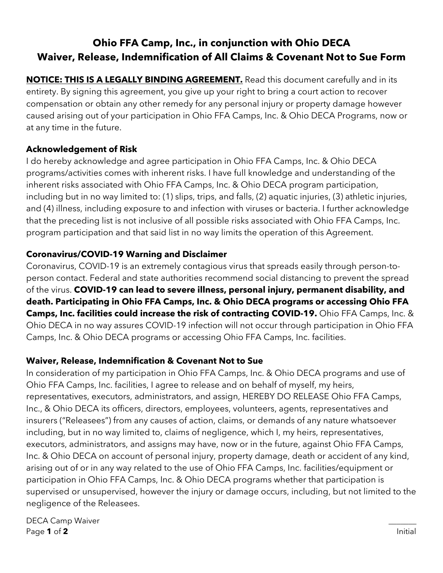# **Ohio FFA Camp, Inc., in conjunction with Ohio DECA Waiver, Release, Indemnification of All Claims & Covenant Not to Sue Form**

**NOTICE: THIS IS A LEGALLY BINDING AGREEMENT.** Read this document carefully and in its entirety. By signing this agreement, you give up your right to bring a court action to recover compensation or obtain any other remedy for any personal injury or property damage however caused arising out of your participation in Ohio FFA Camps, Inc. & Ohio DECA Programs, now or at any time in the future.

# **Acknowledgement of Risk**

I do hereby acknowledge and agree participation in Ohio FFA Camps, Inc. & Ohio DECA programs/activities comes with inherent risks. I have full knowledge and understanding of the inherent risks associated with Ohio FFA Camps, Inc. & Ohio DECA program participation, including but in no way limited to: (1) slips, trips, and falls, (2) aquatic injuries, (3) athletic injuries, and (4) illness, including exposure to and infection with viruses or bacteria. I further acknowledge that the preceding list is not inclusive of all possible risks associated with Ohio FFA Camps, Inc. program participation and that said list in no way limits the operation of this Agreement.

## **Coronavirus/COVID-19 Warning and Disclaimer**

Coronavirus, COVID-19 is an extremely contagious virus that spreads easily through person-toperson contact. Federal and state authorities recommend social distancing to prevent the spread of the virus. **COVID-19 can lead to severe illness, personal injury, permanent disability, and death. Participating in Ohio FFA Camps, Inc. & Ohio DECA programs or accessing Ohio FFA Camps, Inc. facilities could increase the risk of contracting COVID-19.** Ohio FFA Camps, Inc. & Ohio DECA in no way assures COVID-19 infection will not occur through participation in Ohio FFA Camps, Inc. & Ohio DECA programs or accessing Ohio FFA Camps, Inc. facilities.

# **Waiver, Release, Indemnification & Covenant Not to Sue**

In consideration of my participation in Ohio FFA Camps, Inc. & Ohio DECA programs and use of Ohio FFA Camps, Inc. facilities, I agree to release and on behalf of myself, my heirs, representatives, executors, administrators, and assign, HEREBY DO RELEASE Ohio FFA Camps, Inc., & Ohio DECA its officers, directors, employees, volunteers, agents, representatives and insurers ("Releasees") from any causes of action, claims, or demands of any nature whatsoever including, but in no way limited to, claims of negligence, which I, my heirs, representatives, executors, administrators, and assigns may have, now or in the future, against Ohio FFA Camps, Inc. & Ohio DECA on account of personal injury, property damage, death or accident of any kind, arising out of or in any way related to the use of Ohio FFA Camps, Inc. facilities/equipment or participation in Ohio FFA Camps, Inc. & Ohio DECA programs whether that participation is supervised or unsupervised, however the injury or damage occurs, including, but not limited to the negligence of the Releasees.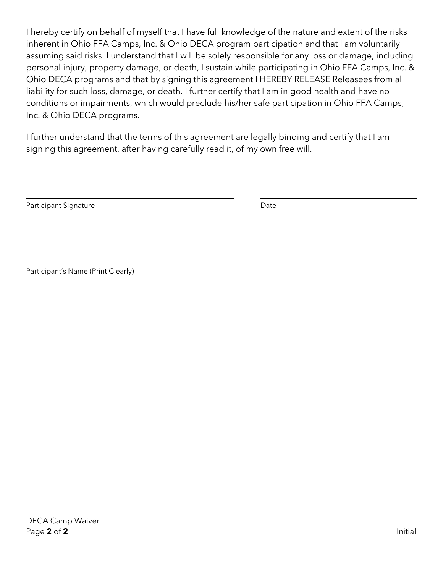I hereby certify on behalf of myself that I have full knowledge of the nature and extent of the risks inherent in Ohio FFA Camps, Inc. & Ohio DECA program participation and that I am voluntarily assuming said risks. I understand that I will be solely responsible for any loss or damage, including personal injury, property damage, or death, I sustain while participating in Ohio FFA Camps, Inc. & Ohio DECA programs and that by signing this agreement I HEREBY RELEASE Releasees from all liability for such loss, damage, or death. I further certify that I am in good health and have no conditions or impairments, which would preclude his/her safe participation in Ohio FFA Camps, Inc. & Ohio DECA programs.

I further understand that the terms of this agreement are legally binding and certify that I am signing this agreement, after having carefully read it, of my own free will.

Participant Signature Date Date

Participant's Name (Print Clearly)